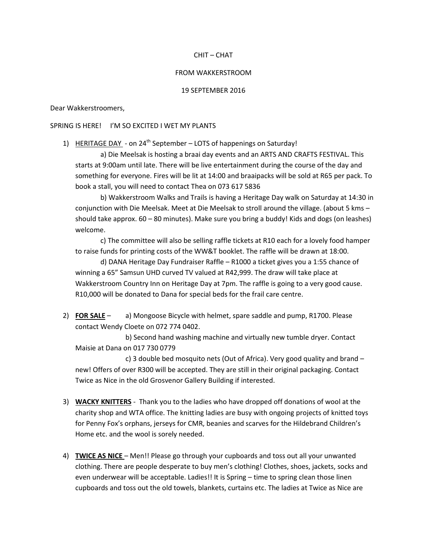# CHIT – CHAT

#### FROM WAKKERSTROOM

### 19 SEPTEMBER 2016

### Dear Wakkerstroomers,

# SPRING IS HERE! I'M SO EXCITED I WET MY PLANTS

1) HERITAGE DAY - on 24<sup>th</sup> September – LOTS of happenings on Saturday!

a) Die Meelsak is hosting a braai day events and an ARTS AND CRAFTS FESTIVAL. This starts at 9:00am until late. There will be live entertainment during the course of the day and something for everyone. Fires will be lit at 14:00 and braaipacks will be sold at R65 per pack. To book a stall, you will need to contact Thea on 073 617 5836

b) Wakkerstroom Walks and Trails is having a Heritage Day walk on Saturday at 14:30 in conjunction with Die Meelsak. Meet at Die Meelsak to stroll around the village. (about 5 kms – should take approx. 60 – 80 minutes). Make sure you bring a buddy! Kids and dogs (on leashes) welcome.

c) The committee will also be selling raffle tickets at R10 each for a lovely food hamper to raise funds for printing costs of the WW&T booklet. The raffle will be drawn at 18:00.

d) DANA Heritage Day Fundraiser Raffle – R1000 a ticket gives you a 1:55 chance of winning a 65" Samsun UHD curved TV valued at R42,999. The draw will take place at Wakkerstroom Country Inn on Heritage Day at 7pm. The raffle is going to a very good cause. R10,000 will be donated to Dana for special beds for the frail care centre.

2) **FOR SALE** – a) Mongoose Bicycle with helmet, spare saddle and pump, R1700. Please contact Wendy Cloete on 072 774 0402.

b) Second hand washing machine and virtually new tumble dryer. Contact Maisie at Dana on 017 730 0779

c) 3 double bed mosquito nets (Out of Africa). Very good quality and brand – new! Offers of over R300 will be accepted. They are still in their original packaging. Contact Twice as Nice in the old Grosvenor Gallery Building if interested.

- 3) **WACKY KNITTERS** Thank you to the ladies who have dropped off donations of wool at the charity shop and WTA office. The knitting ladies are busy with ongoing projects of knitted toys for Penny Fox's orphans, jerseys for CMR, beanies and scarves for the Hildebrand Children's Home etc. and the wool is sorely needed.
- 4) **TWICE AS NICE**  Men!! Please go through your cupboards and toss out all your unwanted clothing. There are people desperate to buy men's clothing! Clothes, shoes, jackets, socks and even underwear will be acceptable. Ladies!! It is Spring – time to spring clean those linen cupboards and toss out the old towels, blankets, curtains etc. The ladies at Twice as Nice are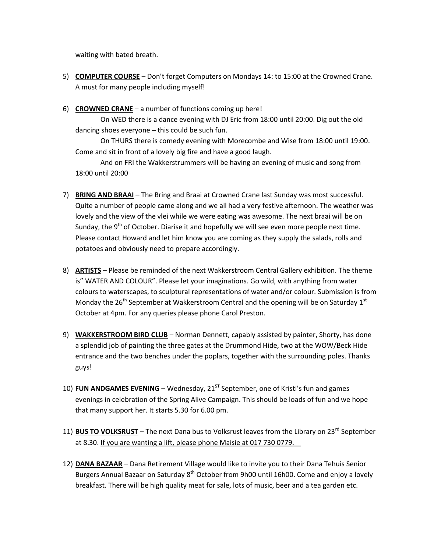waiting with bated breath.

- 5) **COMPUTER COURSE** Don't forget Computers on Mondays 14: to 15:00 at the Crowned Crane. A must for many people including myself!
- 6) **CROWNED CRANE** a number of functions coming up here!

On WED there is a dance evening with DJ Eric from 18:00 until 20:00. Dig out the old dancing shoes everyone – this could be such fun.

On THURS there is comedy evening with Morecombe and Wise from 18:00 until 19:00. Come and sit in front of a lovely big fire and have a good laugh.

And on FRI the Wakkerstrummers will be having an evening of music and song from 18:00 until 20:00

- 7) **BRING AND BRAAI** The Bring and Braai at Crowned Crane last Sunday was most successful. Quite a number of people came along and we all had a very festive afternoon. The weather was lovely and the view of the vlei while we were eating was awesome. The next braai will be on Sunday, the 9<sup>th</sup> of October. Diarise it and hopefully we will see even more people next time. Please contact Howard and let him know you are coming as they supply the salads, rolls and potatoes and obviously need to prepare accordingly.
- 8) **ARTISTS** Please be reminded of the next Wakkerstroom Central Gallery exhibition. The theme is" WATER AND COLOUR". Please let your imaginations. Go wild, with anything from water colours to waterscapes, to sculptural representations of water and/or colour. Submission is from Monday the 26<sup>th</sup> September at Wakkerstroom Central and the opening will be on Saturday 1<sup>st</sup> October at 4pm. For any queries please phone Carol Preston.
- 9) **WAKKERSTROOM BIRD CLUB** Norman Dennett, capably assisted by painter, Shorty, has done a splendid job of painting the three gates at the Drummond Hide, two at the WOW/Beck Hide entrance and the two benches under the poplars, together with the surrounding poles. Thanks guys!
- 10) **FUN ANDGAMES EVENING** Wednesday, 21<sup>ST</sup> September, one of Kristi's fun and games evenings in celebration of the Spring Alive Campaign. This should be loads of fun and we hope that many support her. It starts 5.30 for 6.00 pm.
- 11) **BUS TO VOLKSRUST** The next Dana bus to Volksrust leaves from the Library on 23<sup>rd</sup> September at 8.30. If you are wanting a lift, please phone Maisie at 017 730 0779.
- 12) **DANA BAZAAR** Dana Retirement Village would like to invite you to their Dana Tehuis Senior Burgers Annual Bazaar on Saturday 8<sup>th</sup> October from 9h00 until 16h00. Come and enjoy a lovely breakfast. There will be high quality meat for sale, lots of music, beer and a tea garden etc.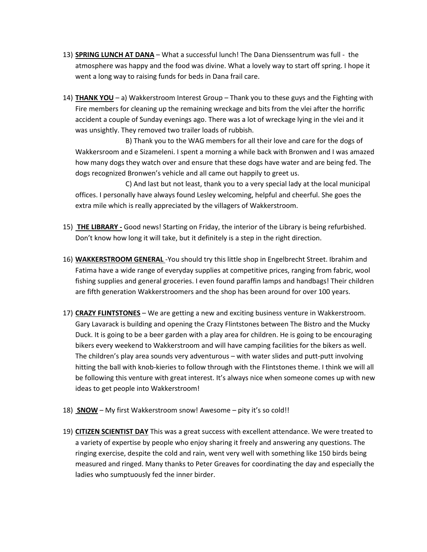- 13) **SPRING LUNCH AT DANA** What a successful lunch! The Dana Dienssentrum was full the atmosphere was happy and the food was divine. What a lovely way to start off spring. I hope it went a long way to raising funds for beds in Dana frail care.
- 14) **THANK YOU** a) Wakkerstroom Interest Group Thank you to these guys and the Fighting with Fire members for cleaning up the remaining wreckage and bits from the vlei after the horrific accident a couple of Sunday evenings ago. There was a lot of wreckage lying in the vlei and it was unsightly. They removed two trailer loads of rubbish.

B) Thank you to the WAG members for all their love and care for the dogs of Wakkersroom and e Sizameleni. I spent a morning a while back with Bronwen and I was amazed how many dogs they watch over and ensure that these dogs have water and are being fed. The dogs recognized Bronwen's vehicle and all came out happily to greet us.

C) And last but not least, thank you to a very special lady at the local municipal offices. I personally have always found Lesley welcoming, helpful and cheerful. She goes the extra mile which is really appreciated by the villagers of Wakkerstroom.

- 15) **THE LIBRARY -** Good news! Starting on Friday, the interior of the Library is being refurbished. Don't know how long it will take, but it definitely is a step in the right direction.
- 16) **WAKKERSTROOM GENERAL** -You should try this little shop in Engelbrecht Street. Ibrahim and Fatima have a wide range of everyday supplies at competitive prices, ranging from fabric, wool fishing supplies and general groceries. I even found paraffin lamps and handbags! Their children are fifth generation Wakkerstroomers and the shop has been around for over 100 years.
- 17) **CRAZY FLINTSTONES** We are getting a new and exciting business venture in Wakkerstroom. Gary Lavarack is building and opening the Crazy Flintstones between The Bistro and the Mucky Duck. It is going to be a beer garden with a play area for children. He is going to be encouraging bikers every weekend to Wakkerstroom and will have camping facilities for the bikers as well. The children's play area sounds very adventurous – with water slides and putt-putt involving hitting the ball with knob-kieries to follow through with the Flintstones theme. I think we will all be following this venture with great interest. It's always nice when someone comes up with new ideas to get people into Wakkerstroom!
- 18) **SNOW** My first Wakkerstroom snow! Awesome pity it's so cold!!
- 19) **CITIZEN SCIENTIST DAY** This was a great success with excellent attendance. We were treated to a variety of expertise by people who enjoy sharing it freely and answering any questions. The ringing exercise, despite the cold and rain, went very well with something like 150 birds being measured and ringed. Many thanks to Peter Greaves for coordinating the day and especially the ladies who sumptuously fed the inner birder.